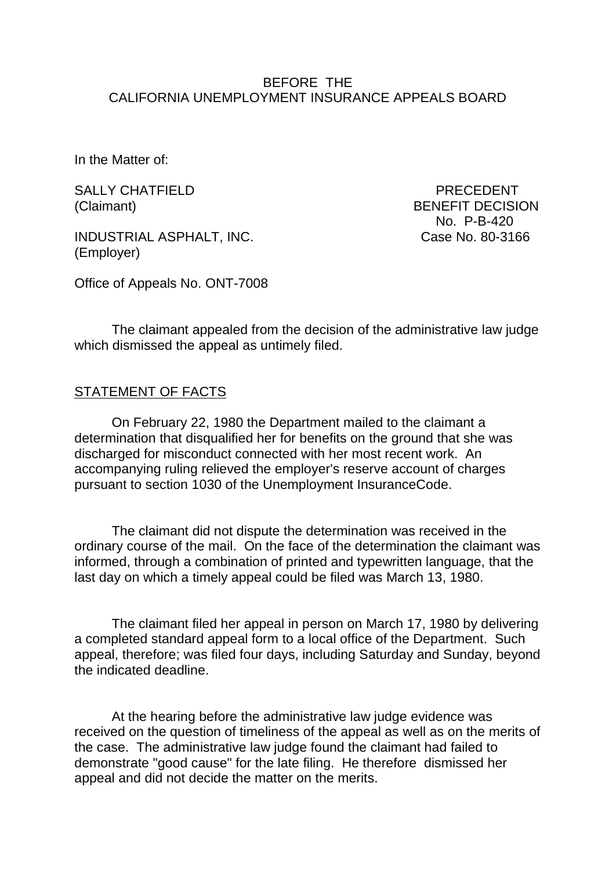#### BEFORE THE CALIFORNIA UNEMPLOYMENT INSURANCE APPEALS BOARD

In the Matter of:

SALLY CHATFIELD PRECEDENT

INDUSTRIAL ASPHALT, INC. Case No. 80-3166 (Employer)

(Claimant) BENEFIT DECISION No. P-B-420

Office of Appeals No. ONT-7008

The claimant appealed from the decision of the administrative law judge which dismissed the appeal as untimely filed.

#### STATEMENT OF FACTS

On February 22, 1980 the Department mailed to the claimant a determination that disqualified her for benefits on the ground that she was discharged for misconduct connected with her most recent work. An accompanying ruling relieved the employer's reserve account of charges pursuant to section 1030 of the Unemployment InsuranceCode.

The claimant did not dispute the determination was received in the ordinary course of the mail. On the face of the determination the claimant was informed, through a combination of printed and typewritten language, that the last day on which a timely appeal could be filed was March 13, 1980.

The claimant filed her appeal in person on March 17, 1980 by delivering a completed standard appeal form to a local office of the Department. Such appeal, therefore; was filed four days, including Saturday and Sunday, beyond the indicated deadline.

At the hearing before the administrative law judge evidence was received on the question of timeliness of the appeal as well as on the merits of the case. The administrative law judge found the claimant had failed to demonstrate "good cause" for the late filing. He therefore dismissed her appeal and did not decide the matter on the merits.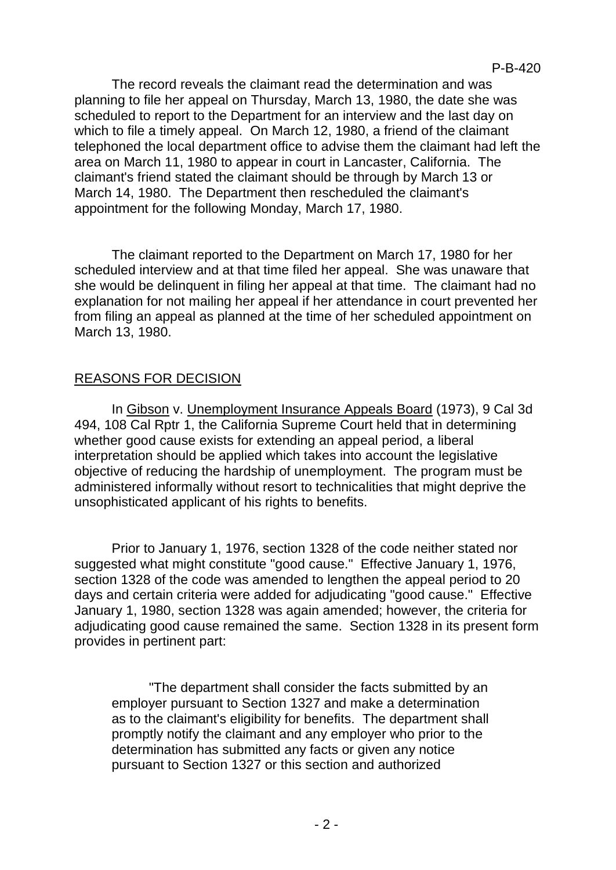The record reveals the claimant read the determination and was planning to file her appeal on Thursday, March 13, 1980, the date she was scheduled to report to the Department for an interview and the last day on which to file a timely appeal. On March 12, 1980, a friend of the claimant telephoned the local department office to advise them the claimant had left the area on March 11, 1980 to appear in court in Lancaster, California. The claimant's friend stated the claimant should be through by March 13 or March 14, 1980. The Department then rescheduled the claimant's appointment for the following Monday, March 17, 1980.

The claimant reported to the Department on March 17, 1980 for her scheduled interview and at that time filed her appeal. She was unaware that she would be delinquent in filing her appeal at that time. The claimant had no explanation for not mailing her appeal if her attendance in court prevented her from filing an appeal as planned at the time of her scheduled appointment on March 13, 1980.

# REASONS FOR DECISION

In Gibson v. Unemployment Insurance Appeals Board (1973), 9 Cal 3d 494, 108 Cal Rptr 1, the California Supreme Court held that in determining whether good cause exists for extending an appeal period, a liberal interpretation should be applied which takes into account the legislative objective of reducing the hardship of unemployment. The program must be administered informally without resort to technicalities that might deprive the unsophisticated applicant of his rights to benefits.

Prior to January 1, 1976, section 1328 of the code neither stated nor suggested what might constitute "good cause." Effective January 1, 1976, section 1328 of the code was amended to lengthen the appeal period to 20 days and certain criteria were added for adjudicating "good cause." Effective January 1, 1980, section 1328 was again amended; however, the criteria for adjudicating good cause remained the same. Section 1328 in its present form provides in pertinent part:

"The department shall consider the facts submitted by an employer pursuant to Section 1327 and make a determination as to the claimant's eligibility for benefits. The department shall promptly notify the claimant and any employer who prior to the determination has submitted any facts or given any notice pursuant to Section 1327 or this section and authorized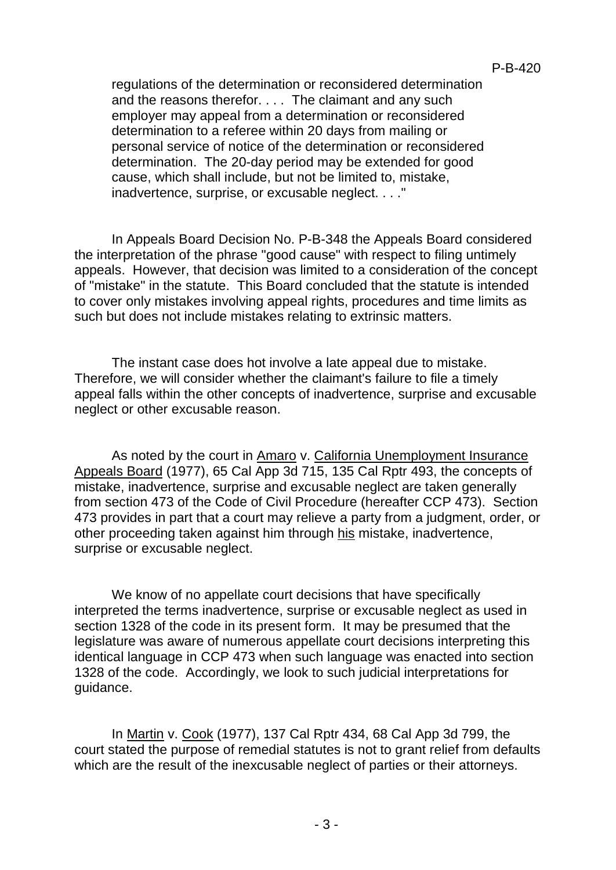regulations of the determination or reconsidered determination and the reasons therefor. . . . The claimant and any such employer may appeal from a determination or reconsidered determination to a referee within 20 days from mailing or personal service of notice of the determination or reconsidered determination. The 20-day period may be extended for good cause, which shall include, but not be limited to, mistake, inadvertence, surprise, or excusable neglect. . . ."

In Appeals Board Decision No. P-B-348 the Appeals Board considered the interpretation of the phrase "good cause" with respect to filing untimely appeals. However, that decision was limited to a consideration of the concept of "mistake" in the statute. This Board concluded that the statute is intended to cover only mistakes involving appeal rights, procedures and time limits as such but does not include mistakes relating to extrinsic matters.

The instant case does hot involve a late appeal due to mistake. Therefore, we will consider whether the claimant's failure to file a timely appeal falls within the other concepts of inadvertence, surprise and excusable neglect or other excusable reason.

As noted by the court in Amaro v. California Unemployment Insurance Appeals Board (1977), 65 Cal App 3d 715, 135 Cal Rptr 493, the concepts of mistake, inadvertence, surprise and excusable neglect are taken generally from section 473 of the Code of Civil Procedure (hereafter CCP 473). Section 473 provides in part that a court may relieve a party from a judgment, order, or other proceeding taken against him through his mistake, inadvertence, surprise or excusable neglect.

We know of no appellate court decisions that have specifically interpreted the terms inadvertence, surprise or excusable neglect as used in section 1328 of the code in its present form. It may be presumed that the legislature was aware of numerous appellate court decisions interpreting this identical language in CCP 473 when such language was enacted into section 1328 of the code. Accordingly, we look to such judicial interpretations for guidance.

In Martin v. Cook (1977), 137 Cal Rptr 434, 68 Cal App 3d 799, the court stated the purpose of remedial statutes is not to grant relief from defaults which are the result of the inexcusable neglect of parties or their attorneys.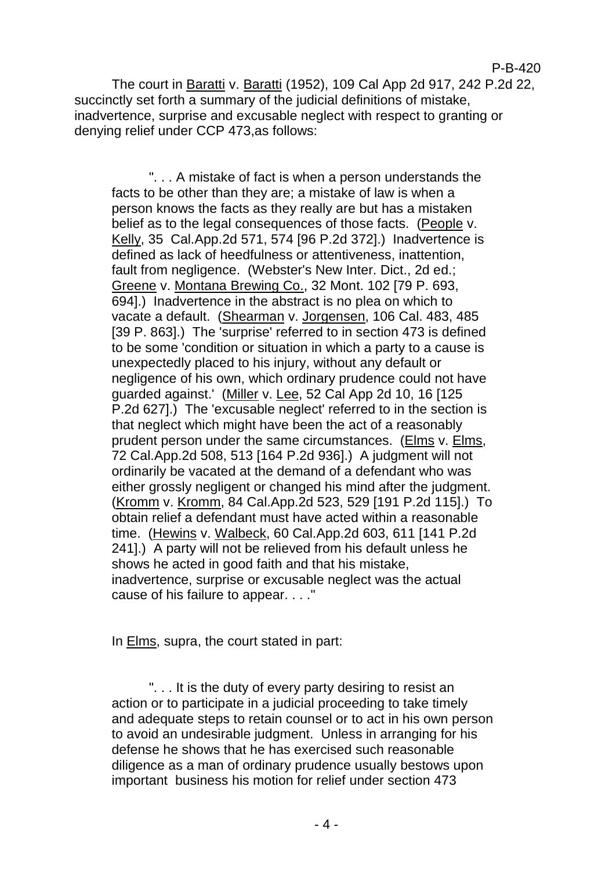P-B-420 The court in Baratti v. Baratti (1952), 109 Cal App 2d 917, 242 P.2d 22,

succinctly set forth a summary of the judicial definitions of mistake, inadvertence, surprise and excusable neglect with respect to granting or denying relief under CCP 473,as follows:

". . . A mistake of fact is when a person understands the facts to be other than they are; a mistake of law is when a person knows the facts as they really are but has a mistaken belief as to the legal consequences of those facts. (People v. Kelly, 35 Cal.App.2d 571, 574 [96 P.2d 372].) Inadvertence is defined as lack of heedfulness or attentiveness, inattention, fault from negligence. (Webster's New Inter. Dict., 2d ed.; Greene v. Montana Brewing Co., 32 Mont. 102 [79 P. 693, 694].) Inadvertence in the abstract is no plea on which to vacate a default. (Shearman v. Jorgensen, 106 Cal. 483, 485 [39 P. 863].) The 'surprise' referred to in section 473 is defined to be some 'condition or situation in which a party to a cause is unexpectedly placed to his injury, without any default or negligence of his own, which ordinary prudence could not have guarded against.' (Miller v. Lee, 52 Cal App 2d 10, 16 [125 P.2d 627].) The 'excusable neglect' referred to in the section is that neglect which might have been the act of a reasonably prudent person under the same circumstances. (Elms v. Elms, 72 Cal.App.2d 508, 513 [164 P.2d 936].) A judgment will not ordinarily be vacated at the demand of a defendant who was either grossly negligent or changed his mind after the judgment. (Kromm v. Kromm, 84 Cal.App.2d 523, 529 [191 P.2d 115].) To obtain relief a defendant must have acted within a reasonable time. (Hewins v. Walbeck, 60 Cal.App.2d 603, 611 [141 P.2d 241].) A party will not be relieved from his default unless he shows he acted in good faith and that his mistake, inadvertence, surprise or excusable neglect was the actual cause of his failure to appear. . . ."

In Elms, supra, the court stated in part:

". . . It is the duty of every party desiring to resist an action or to participate in a judicial proceeding to take timely and adequate steps to retain counsel or to act in his own person to avoid an undesirable judgment. Unless in arranging for his defense he shows that he has exercised such reasonable diligence as a man of ordinary prudence usually bestows upon important business his motion for relief under section 473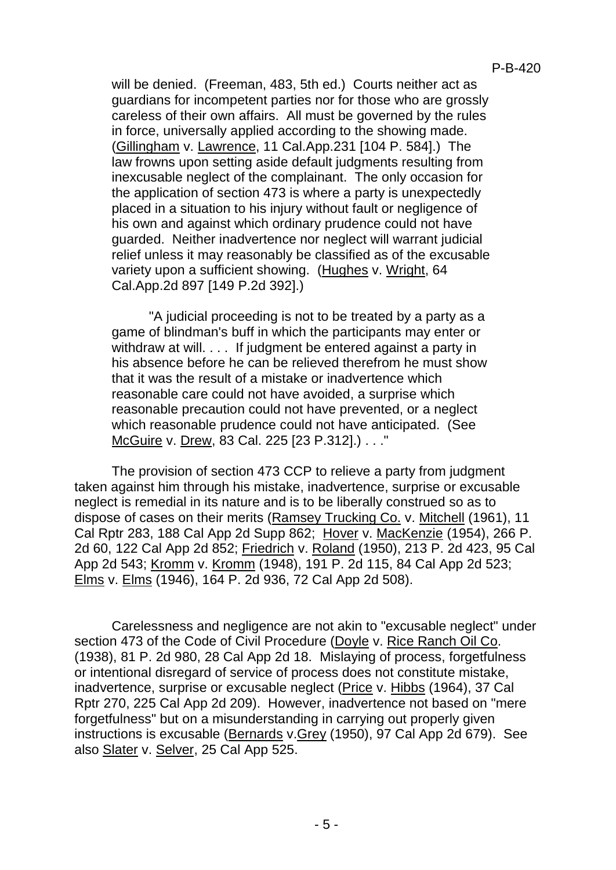will be denied. (Freeman, 483, 5th ed.) Courts neither act as guardians for incompetent parties nor for those who are grossly careless of their own affairs. All must be governed by the rules in force, universally applied according to the showing made. (Gillingham v. Lawrence, 11 Cal.App.231 [104 P. 584].) The law frowns upon setting aside default judgments resulting from inexcusable neglect of the complainant. The only occasion for the application of section 473 is where a party is unexpectedly placed in a situation to his injury without fault or negligence of his own and against which ordinary prudence could not have guarded. Neither inadvertence nor neglect will warrant judicial relief unless it may reasonably be classified as of the excusable variety upon a sufficient showing. (Hughes v. Wright, 64 Cal.App.2d 897 [149 P.2d 392].)

"A judicial proceeding is not to be treated by a party as a game of blindman's buff in which the participants may enter or withdraw at will. . . . If judgment be entered against a party in his absence before he can be relieved therefrom he must show that it was the result of a mistake or inadvertence which reasonable care could not have avoided, a surprise which reasonable precaution could not have prevented, or a neglect which reasonable prudence could not have anticipated. (See McGuire v. Drew, 83 Cal. 225 [23 P.312].) . . ."

The provision of section 473 CCP to relieve a party from judgment taken against him through his mistake, inadvertence, surprise or excusable neglect is remedial in its nature and is to be liberally construed so as to dispose of cases on their merits (Ramsey Trucking Co. v. Mitchell (1961), 11 Cal Rptr 283, 188 Cal App 2d Supp 862; Hover v. MacKenzie (1954), 266 P. 2d 60, 122 Cal App 2d 852; Friedrich v. Roland (1950), 213 P. 2d 423, 95 Cal App 2d 543; Kromm v. Kromm (1948), 191 P. 2d 115, 84 Cal App 2d 523; Elms v. Elms (1946), 164 P. 2d 936, 72 Cal App 2d 508).

Carelessness and negligence are not akin to "excusable neglect" under section 473 of the Code of Civil Procedure (Doyle v. Rice Ranch Oil Co. (1938), 81 P. 2d 980, 28 Cal App 2d 18. Mislaying of process, forgetfulness or intentional disregard of service of process does not constitute mistake, inadvertence, surprise or excusable neglect (Price v. Hibbs (1964), 37 Cal Rptr 270, 225 Cal App 2d 209). However, inadvertence not based on "mere forgetfulness" but on a misunderstanding in carrying out properly given instructions is excusable (Bernards v.Grey (1950), 97 Cal App 2d 679). See also Slater v. Selver, 25 Cal App 525.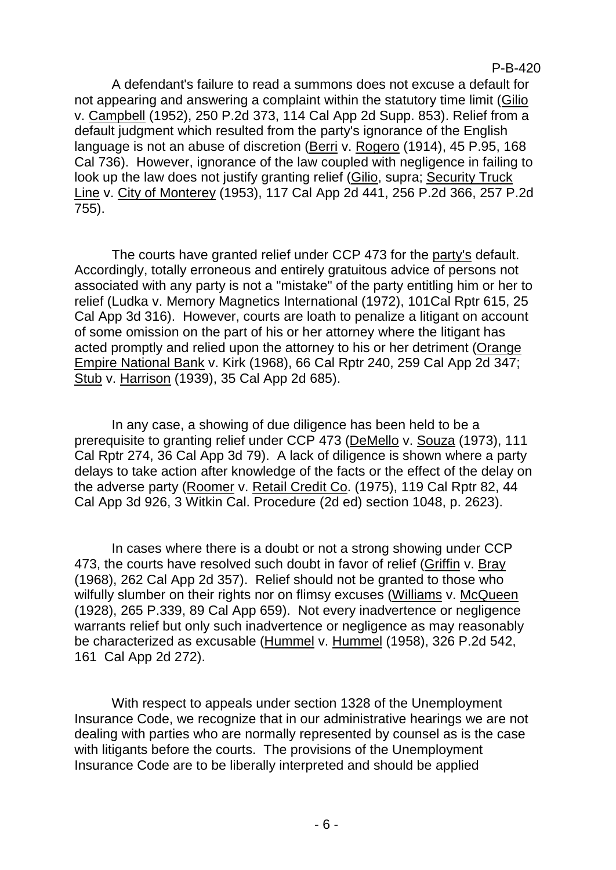P-B-420

A defendant's failure to read a summons does not excuse a default for not appearing and answering a complaint within the statutory time limit (Gilio v. Campbell (1952), 250 P.2d 373, 114 Cal App 2d Supp. 853). Relief from a default judgment which resulted from the party's ignorance of the English language is not an abuse of discretion (Berri v. Rogero (1914), 45 P.95, 168 Cal 736). However, ignorance of the law coupled with negligence in failing to look up the law does not justify granting relief (Gilio, supra; Security Truck Line v. City of Monterey (1953), 117 Cal App 2d 441, 256 P.2d 366, 257 P.2d 755).

The courts have granted relief under CCP 473 for the party's default. Accordingly, totally erroneous and entirely gratuitous advice of persons not associated with any party is not a "mistake" of the party entitling him or her to relief (Ludka v. Memory Magnetics International (1972), 101Cal Rptr 615, 25 Cal App 3d 316). However, courts are loath to penalize a litigant on account of some omission on the part of his or her attorney where the litigant has acted promptly and relied upon the attorney to his or her detriment (Orange Empire National Bank v. Kirk (1968), 66 Cal Rptr 240, 259 Cal App 2d 347; Stub v. Harrison (1939), 35 Cal App 2d 685).

In any case, a showing of due diligence has been held to be a prerequisite to granting relief under CCP 473 (DeMello v. Souza (1973), 111 Cal Rptr 274, 36 Cal App 3d 79). A lack of diligence is shown where a party delays to take action after knowledge of the facts or the effect of the delay on the adverse party (Roomer v. Retail Credit Co. (1975), 119 Cal Rptr 82, 44 Cal App 3d 926, 3 Witkin Cal. Procedure (2d ed) section 1048, p. 2623).

In cases where there is a doubt or not a strong showing under CCP 473, the courts have resolved such doubt in favor of relief (Griffin v. Bray (1968), 262 Cal App 2d 357). Relief should not be granted to those who wilfully slumber on their rights nor on flimsy excuses (Williams v. McQueen (1928), 265 P.339, 89 Cal App 659). Not every inadvertence or negligence warrants relief but only such inadvertence or negligence as may reasonably be characterized as excusable (Hummel v. Hummel (1958), 326 P.2d 542, 161 Cal App 2d 272).

With respect to appeals under section 1328 of the Unemployment Insurance Code, we recognize that in our administrative hearings we are not dealing with parties who are normally represented by counsel as is the case with litigants before the courts. The provisions of the Unemployment Insurance Code are to be liberally interpreted and should be applied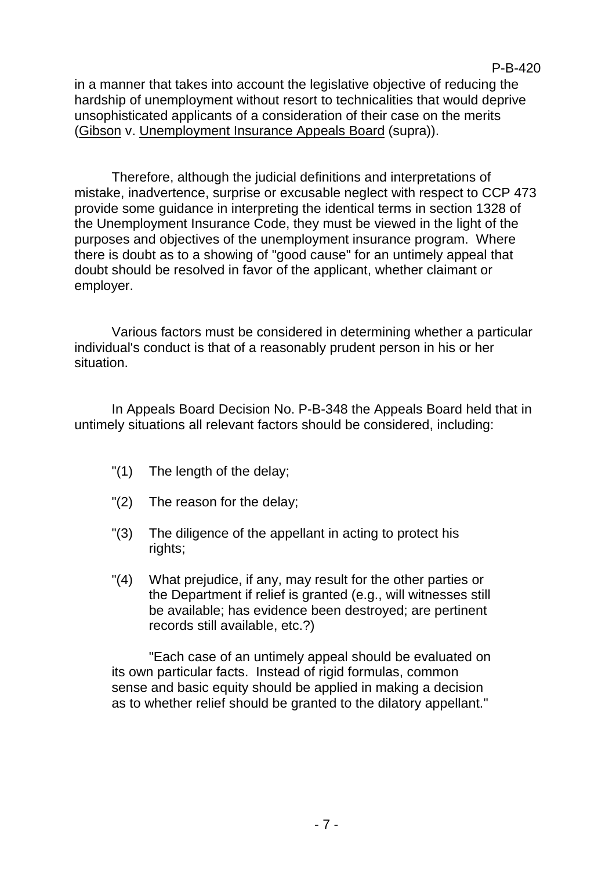in a manner that takes into account the legislative objective of reducing the hardship of unemployment without resort to technicalities that would deprive unsophisticated applicants of a consideration of their case on the merits (Gibson v. Unemployment Insurance Appeals Board (supra)).

Therefore, although the judicial definitions and interpretations of mistake, inadvertence, surprise or excusable neglect with respect to CCP 473 provide some guidance in interpreting the identical terms in section 1328 of the Unemployment Insurance Code, they must be viewed in the light of the purposes and objectives of the unemployment insurance program. Where there is doubt as to a showing of "good cause" for an untimely appeal that doubt should be resolved in favor of the applicant, whether claimant or employer.

Various factors must be considered in determining whether a particular individual's conduct is that of a reasonably prudent person in his or her situation.

In Appeals Board Decision No. P-B-348 the Appeals Board held that in untimely situations all relevant factors should be considered, including:

- "(1) The length of the delay;
- "(2) The reason for the delay;
- "(3) The diligence of the appellant in acting to protect his rights;
- "(4) What prejudice, if any, may result for the other parties or the Department if relief is granted (e.g., will witnesses still be available; has evidence been destroyed; are pertinent records still available, etc.?)

"Each case of an untimely appeal should be evaluated on its own particular facts. Instead of rigid formulas, common sense and basic equity should be applied in making a decision as to whether relief should be granted to the dilatory appellant."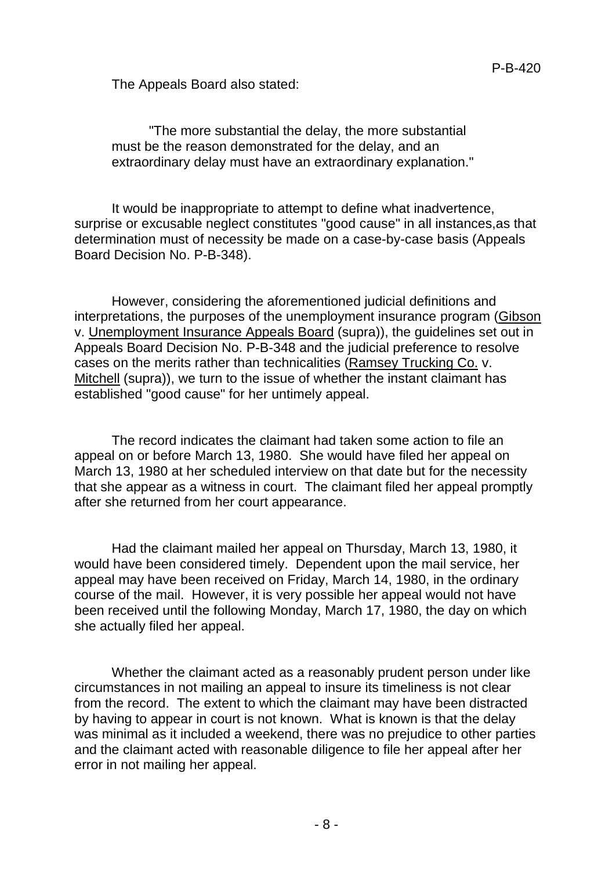The Appeals Board also stated:

"The more substantial the delay, the more substantial must be the reason demonstrated for the delay, and an extraordinary delay must have an extraordinary explanation."

It would be inappropriate to attempt to define what inadvertence, surprise or excusable neglect constitutes "good cause" in all instances,as that determination must of necessity be made on a case-by-case basis (Appeals Board Decision No. P-B-348).

However, considering the aforementioned judicial definitions and interpretations, the purposes of the unemployment insurance program (Gibson v. Unemployment Insurance Appeals Board (supra)), the guidelines set out in Appeals Board Decision No. P-B-348 and the judicial preference to resolve cases on the merits rather than technicalities (Ramsey Trucking Co. v. Mitchell (supra)), we turn to the issue of whether the instant claimant has established "good cause" for her untimely appeal.

The record indicates the claimant had taken some action to file an appeal on or before March 13, 1980. She would have filed her appeal on March 13, 1980 at her scheduled interview on that date but for the necessity that she appear as a witness in court. The claimant filed her appeal promptly after she returned from her court appearance.

Had the claimant mailed her appeal on Thursday, March 13, 1980, it would have been considered timely. Dependent upon the mail service, her appeal may have been received on Friday, March 14, 1980, in the ordinary course of the mail. However, it is very possible her appeal would not have been received until the following Monday, March 17, 1980, the day on which she actually filed her appeal.

Whether the claimant acted as a reasonably prudent person under like circumstances in not mailing an appeal to insure its timeliness is not clear from the record. The extent to which the claimant may have been distracted by having to appear in court is not known. What is known is that the delay was minimal as it included a weekend, there was no prejudice to other parties and the claimant acted with reasonable diligence to file her appeal after her error in not mailing her appeal.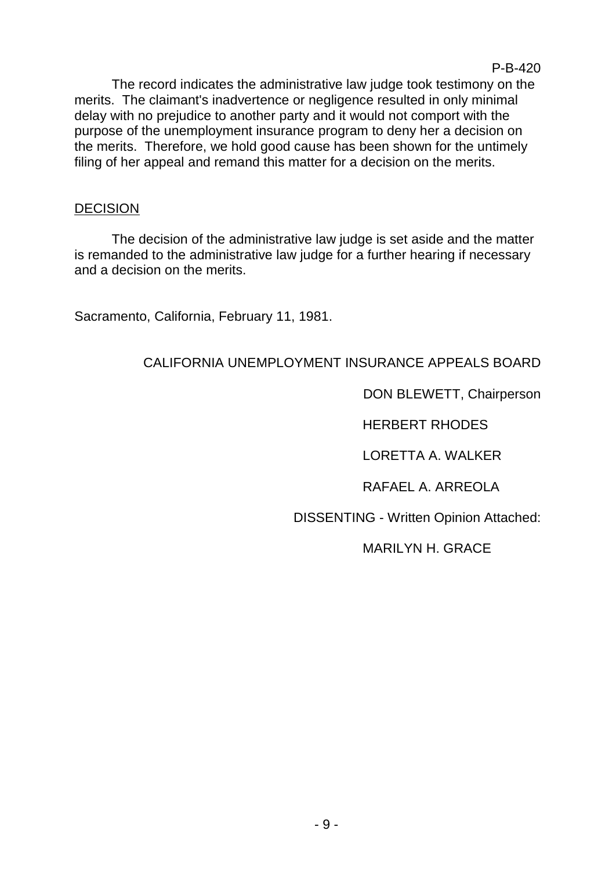The record indicates the administrative law judge took testimony on the merits. The claimant's inadvertence or negligence resulted in only minimal delay with no prejudice to another party and it would not comport with the purpose of the unemployment insurance program to deny her a decision on the merits. Therefore, we hold good cause has been shown for the untimely filing of her appeal and remand this matter for a decision on the merits.

### DECISION

The decision of the administrative law judge is set aside and the matter is remanded to the administrative law judge for a further hearing if necessary and a decision on the merits.

Sacramento, California, February 11, 1981.

# CALIFORNIA UNEMPLOYMENT INSURANCE APPEALS BOARD

DON BLEWETT, Chairperson

HERBERT RHODES

LORETTA A. WALKER

RAFAEL A. ARREOLA

DISSENTING - Written Opinion Attached:

MARILYN H. GRACE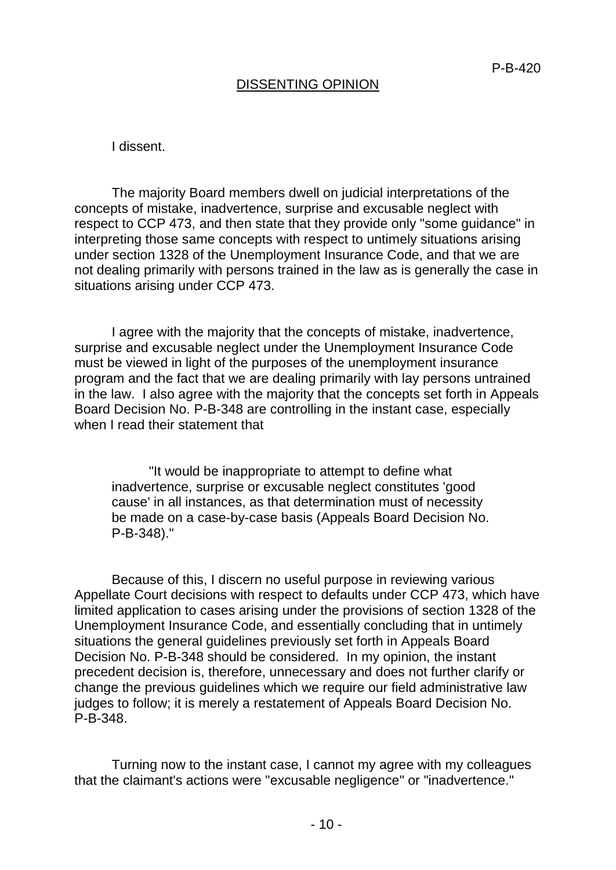### DISSENTING OPINION

I dissent.

The majority Board members dwell on judicial interpretations of the concepts of mistake, inadvertence, surprise and excusable neglect with respect to CCP 473, and then state that they provide only "some guidance" in interpreting those same concepts with respect to untimely situations arising under section 1328 of the Unemployment Insurance Code, and that we are not dealing primarily with persons trained in the law as is generally the case in situations arising under CCP 473.

I agree with the majority that the concepts of mistake, inadvertence, surprise and excusable neglect under the Unemployment Insurance Code must be viewed in light of the purposes of the unemployment insurance program and the fact that we are dealing primarily with lay persons untrained in the law. I also agree with the majority that the concepts set forth in Appeals Board Decision No. P-B-348 are controlling in the instant case, especially when I read their statement that

"It would be inappropriate to attempt to define what inadvertence, surprise or excusable neglect constitutes 'good cause' in all instances, as that determination must of necessity be made on a case-by-case basis (Appeals Board Decision No. P-B-348)."

Because of this, I discern no useful purpose in reviewing various Appellate Court decisions with respect to defaults under CCP 473, which have limited application to cases arising under the provisions of section 1328 of the Unemployment Insurance Code, and essentially concluding that in untimely situations the general guidelines previously set forth in Appeals Board Decision No. P-B-348 should be considered. In my opinion, the instant precedent decision is, therefore, unnecessary and does not further clarify or change the previous guidelines which we require our field administrative law judges to follow; it is merely a restatement of Appeals Board Decision No. P-B-348.

Turning now to the instant case, I cannot my agree with my colleagues that the claimant's actions were "excusable negligence" or "inadvertence."